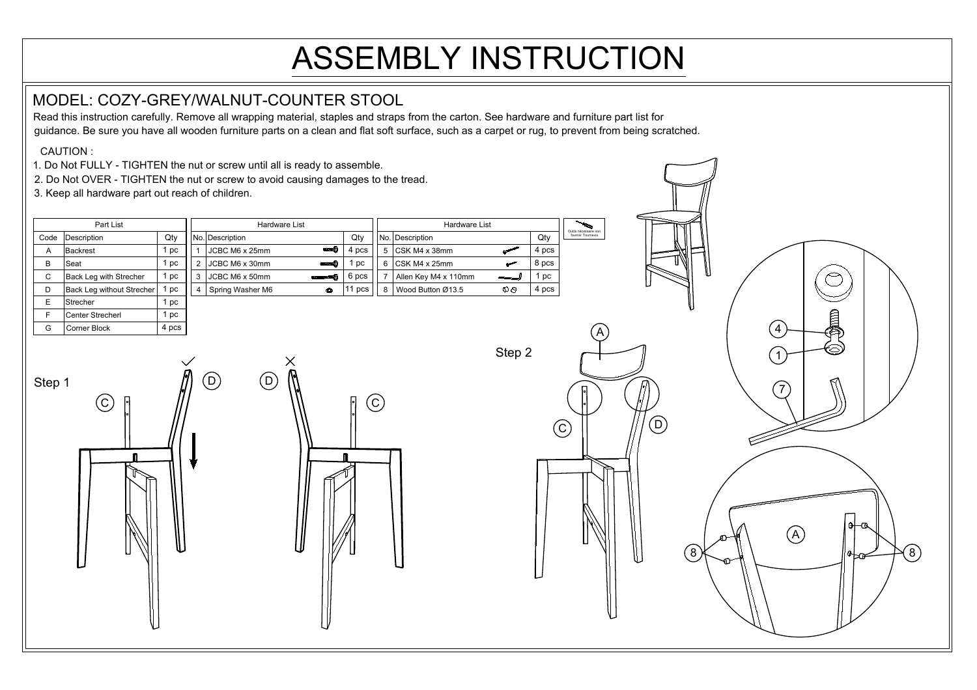## ASSEMBLY INSTRUCTION

## MODEL: COZY-GREY/WALNUT-COUNTER STOOL

Read this instruction carefully. Remove all wrapping material, staples and straps from the carton. See hardware and furniture part list for guidance. Be sure you have all wooden furniture parts on a clean and flat soft surface, such as a carpet or rug, to prevent from being scratched.

CAUTION :

F Center Strecherl G Corner Block

- 1. Do Not FULLY TIGHTEN the nut or screw until all is ready to assemble.
- 2. Do Not OVER TIGHTEN the nut or screw to avoid causing damages to the tread.

3. Keep all hardware part out reach of children.

1 pc 4 pcs

| Part List |                           |      | Hardware List |                               |  |       | <b>Hardware List</b> |           |       | Outils nécessaire non |  |
|-----------|---------------------------|------|---------------|-------------------------------|--|-------|----------------------|-----------|-------|-----------------------|--|
| Code      | Description               | Qty  |               | INo. Description              |  | Qtv   | No. Description      |           | Qty   | fournis: Tournevis    |  |
| A         | ∣Backrest                 | l pc |               | amma (O<br>JCBC M6 x 25mm     |  | 4 pcs | $5$ CSK M4 x 38mm    |           | 4 pcs |                       |  |
| B         | Seat                      | l pc | າ             | JCBC M6 x 30mm<br>ammur(c)    |  | DC    | CSK M4 x 25mm        |           | 8 pcs |                       |  |
| C         | Back Leg with Strecher    | 1 pc | 3             | JCBC M6 x 50mm                |  | 6 pcs | Allen Key M4 x 110mm |           | рc    |                       |  |
| D         | Back Leg without Strecher | 1 pc |               | Spring Washer M6<br>$\bullet$ |  | DCS   | Wood Button Ø13.5    | $O \odot$ | 4 pcs |                       |  |
|           | l Strecher                | 1 pc |               |                               |  |       |                      |           |       |                       |  |